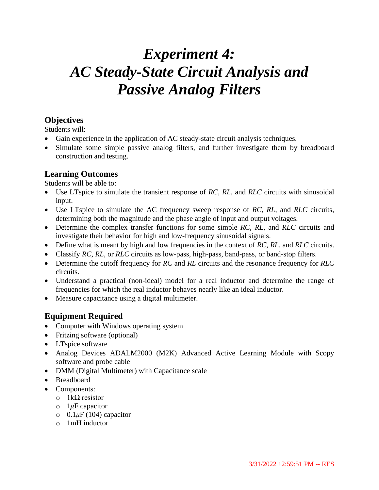# *Experiment 4: AC Steady-State Circuit Analysis and Passive Analog Filters*

#### **Objectives**

Students will:

- Gain experience in the application of AC steady-state circuit analysis techniques.
- Simulate some simple passive analog filters, and further investigate them by breadboard construction and testing.

#### **Learning Outcomes**

Students will be able to:

- Use LTspice to simulate the transient response of *RC*, *RL,* and *RLC* circuits with sinusoidal input.
- Use LTspice to simulate the AC frequency sweep response of *RC*, *RL,* and *RLC* circuits, determining both the magnitude and the phase angle of input and output voltages.
- Determine the complex transfer functions for some simple *RC*, *RL,* and *RLC* circuits and investigate their behavior for high and low-frequency sinusoidal signals.
- Define what is meant by high and low frequencies in the context of *RC*, *RL,* and *RLC* circuits.
- Classify *RC*, *RL,* or *RLC* circuits as low-pass, high-pass, band-pass, or band-stop filters.
- Determine the cutoff frequency for *RC* and *RL* circuits and the resonance frequency for *RLC* circuits.
- Understand a practical (non-ideal) model for a real inductor and determine the range of frequencies for which the real inductor behaves nearly like an ideal inductor.
- Measure capacitance using a digital multimeter.

# **Equipment Required**

- Computer with Windows operating system
- Fritzing software (optional)
- LTspice software
- Analog Devices ADALM2000 (M2K) Advanced Active Learning Module with Scopy software and probe cable
- DMM (Digital Multimeter) with Capacitance scale
- Breadboard
- Components:
	- o 1kΩ resistor
	- o 1*μ*F capacitor
	- o  $0.1 \mu$ F (104) capacitor
	- o 1mH inductor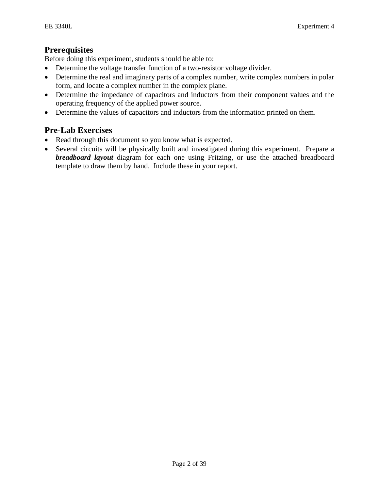#### **Prerequisites**

Before doing this experiment, students should be able to:

- Determine the voltage transfer function of a two-resistor voltage divider.
- Determine the real and imaginary parts of a complex number, write complex numbers in polar form, and locate a complex number in the complex plane.
- Determine the impedance of capacitors and inductors from their component values and the operating frequency of the applied power source.
- Determine the values of capacitors and inductors from the information printed on them.

# **Pre-Lab Exercises**

- Read through this document so you know what is expected.
- Several circuits will be physically built and investigated during this experiment. Prepare a *breadboard layout* diagram for each one using Fritzing, or use the attached breadboard template to draw them by hand. Include these in your report.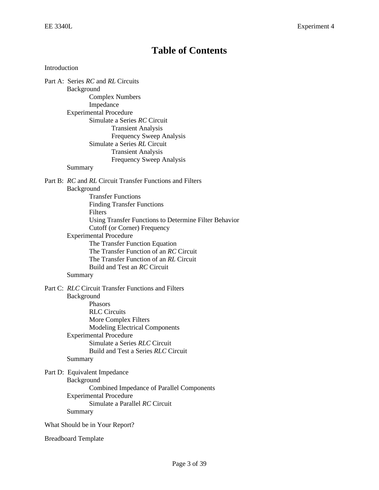# **Table of Contents**

| Introduction |                                                                                                                                                                                                                                                                                                                                                                                                                                                           |  |  |  |  |  |  |  |
|--------------|-----------------------------------------------------------------------------------------------------------------------------------------------------------------------------------------------------------------------------------------------------------------------------------------------------------------------------------------------------------------------------------------------------------------------------------------------------------|--|--|--|--|--|--|--|
|              | Part A: Series RC and RL Circuits<br>Background<br><b>Complex Numbers</b><br>Impedance<br><b>Experimental Procedure</b><br>Simulate a Series RC Circuit<br><b>Transient Analysis</b><br><b>Frequency Sweep Analysis</b><br>Simulate a Series RL Circuit<br><b>Transient Analysis</b><br><b>Frequency Sweep Analysis</b>                                                                                                                                   |  |  |  |  |  |  |  |
|              | Summary<br>Part B: RC and RL Circuit Transfer Functions and Filters<br>Background<br><b>Transfer Functions</b><br><b>Finding Transfer Functions</b><br>Filters<br>Using Transfer Functions to Determine Filter Behavior<br>Cutoff (or Corner) Frequency<br><b>Experimental Procedure</b><br>The Transfer Function Equation<br>The Transfer Function of an RC Circuit<br>The Transfer Function of an RL Circuit<br>Build and Test an RC Circuit<br>Summary |  |  |  |  |  |  |  |
|              | Part C: RLC Circuit Transfer Functions and Filters<br>Background<br><b>Phasors</b><br><b>RLC</b> Circuits<br>More Complex Filters<br><b>Modeling Electrical Components</b><br><b>Experimental Procedure</b><br>Simulate a Series RLC Circuit<br>Build and Test a Series RLC Circuit<br>Summary                                                                                                                                                            |  |  |  |  |  |  |  |
|              | Part D: Equivalent Impedance<br>Background<br><b>Combined Impedance of Parallel Components</b><br><b>Experimental Procedure</b><br>Simulate a Parallel RC Circuit<br>Summary                                                                                                                                                                                                                                                                              |  |  |  |  |  |  |  |
|              | What Should be in Your Report?                                                                                                                                                                                                                                                                                                                                                                                                                            |  |  |  |  |  |  |  |
|              | <b>Breadboard Template</b>                                                                                                                                                                                                                                                                                                                                                                                                                                |  |  |  |  |  |  |  |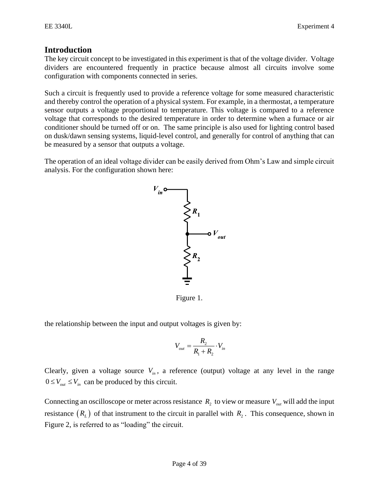#### **Introduction**

The key circuit concept to be investigated in this experiment is that of the voltage divider. Voltage dividers are encountered frequently in practice because almost all circuits involve some configuration with components connected in series.

Such a circuit is frequently used to provide a reference voltage for some measured characteristic and thereby control the operation of a physical system. For example, in a thermostat, a temperature sensor outputs a voltage proportional to temperature. This voltage is compared to a reference voltage that corresponds to the desired temperature in order to determine when a furnace or air conditioner should be turned off or on. The same principle is also used for lighting control based on dusk/dawn sensing systems, liquid-level control, and generally for control of anything that can be measured by a sensor that outputs a voltage.

analysis. For the configuration shown here:



Figure 1.

the relationship between the input and output voltages is given by:

$$
V_{out} = \frac{R_2}{R_1 + R_2} \cdot V_{in}
$$

Clearly, given a voltage source  $V_{in}$ , a reference (output) voltage at any level in the range  $0 \leq V_{out} \leq V_{in}$  can be produced by this circuit.

Connecting an oscilloscope or meter across resistance  $R_2$  to view or measure  $V_{out}$  will add the input resistance  $(R_L)$  of that instrument to the circuit in parallel with  $R_2$ . This consequence, shown in Figure 2, is referred to as "loading" the circuit.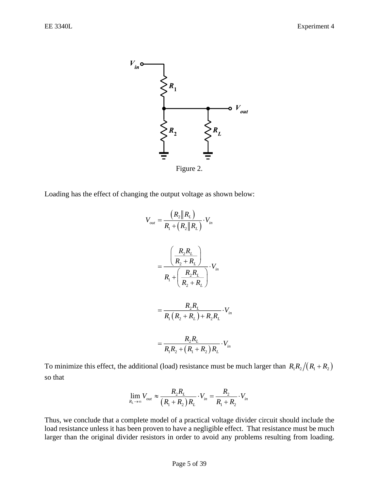

Loading has the effect of changing the output voltage as shown below:

$$
V_{out} = \frac{(R_2 \| R_L)}{R_1 + (R_2 \| R_L)} \cdot V_{in}
$$
  
= 
$$
\frac{\left(\frac{R_2 R_L}{R_2 + R_L}\right)}{R_1 + \left(\frac{R_2 R_L}{R_2 + R_L}\right)} \cdot V_{in}
$$
  
= 
$$
\frac{R_2 R_L}{R_1 (R_2 + R_L) + R_2 R_L} \cdot V_{in}
$$
  
= 
$$
\frac{R_2 R_L}{R_1 R_2 + (R_1 + R_2) R_L} \cdot V_{in}
$$

To minimize this effect, the additional (load) resistance must be much larger than  $R_1R_2/(R_1 + R_2)$ so that

$$
\lim_{R_L \to \infty} V_{out} \approx \frac{R_2 R_L}{\left(R_1 + R_2\right) R_L} \cdot V_{in} = \frac{R_2}{R_1 + R_2} \cdot V_{in}
$$

Thus, we conclude that a complete model of a practical voltage divider circuit should include the load resistance unless it has been proven to have a negligible effect. That resistance must be much larger than the original divider resistors in order to avoid any problems resulting from loading.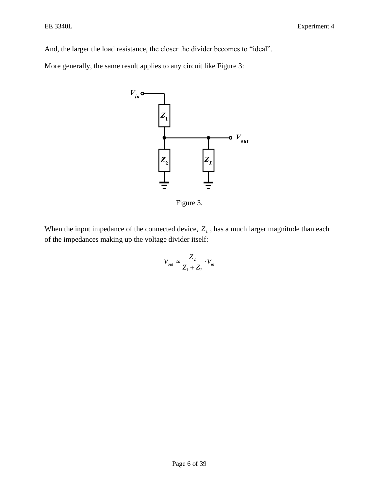And, the larger the load resistance, the closer the divider becomes to "ideal".

More generally, the same result applies to any circuit like Figure 3:



Figure 3.

When the input impedance of the connected device,  $Z_L$ , has a much larger magnitude than each of the impedances making up the voltage divider itself:

$$
V_{out} \approx \frac{Z_2}{Z_1 + Z_2} \cdot V_{in}
$$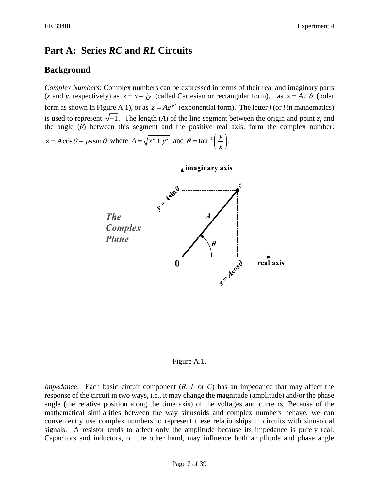# **Part A: Series** *RC* **and** *RL* **Circuits**

### **Background**

*Complex Numbers*: Complex numbers can be expressed in terms of their real and imaginary parts (*x* and *y*, respectively) as  $z = x + jy$  (called Cartesian or rectangular form), as  $z = A \angle \theta$  (polar form as shown in Figure A.1), or as  $z = Ae^{i\theta}$  (exponential form). The letter *j* (or *i* in mathematics) is used to represent  $\sqrt{-1}$ . The length (*A*) of the line segment between the origin and point *z*, and the angle  $(\theta)$  between this segment and the positive real axis, form the complex number:  $z = A\cos\theta + jA\sin\theta$  where  $A = \sqrt{x^2 + y^2}$  and  $\theta = \tan^{-1}\left(\frac{y}{x}\right)$ *x*  $\theta = \tan^{-1}\left(\frac{y}{x}\right).$ 



Figure A.1.

*Impedance*: Each basic circuit component (*R*, *L* or *C*) has an impedance that may affect the response of the circuit in two ways, i.e., it may change the magnitude (amplitude) and/or the phase angle (the relative position along the time axis) of the voltages and currents. Because of the mathematical similarities between the way sinusoids and complex numbers behave, we can conveniently use complex numbers to represent these relationships in circuits with sinusoidal signals. A resistor tends to affect only the amplitude because its impedance is purely real. Capacitors and inductors, on the other hand, may influence both amplitude and phase angle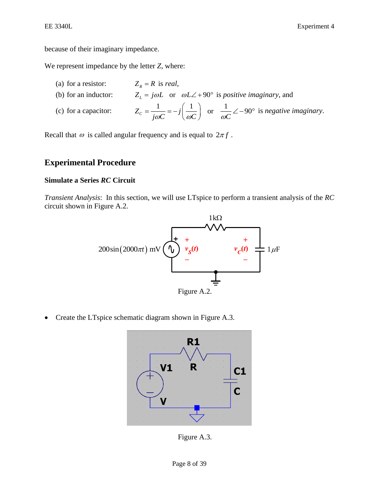because of their imaginary impedance.

We represent impedance by the letter *Z*, where:

(a) for a resistor:  $Z_R = R$  is *real*, (b) for an inductor:  $Z_L = j\omega L$  or  $\omega L \angle +90^\circ$  is *positive imaginary*, and (c) for a capacitor:  $Z_c = \frac{1}{\cdot \cdot \cdot} = -j\left(\frac{1}{\cdot \cdot \cdot}\right)$  or  $\frac{1}{\cdot \cdot \cdot} \cdot \cdot \cdot = -90$ *j* $\omega$ **C**  $\rightarrow$   $\left(\omega C\right)$   $\omega$ **C**  $=\frac{1}{j\omega C}=-j\left(\frac{1}{\omega C}\right)$  or  $\frac{1}{\omega C}\angle-90^{\circ}$  is negative imaginary.

Recall that  $\omega$  is called angular frequency and is equal to  $2\pi f$ .

#### **Experimental Procedure**

#### **Simulate a Series** *RC* **Circuit**

*Transient Analysis*: In this section, we will use LTspice to perform a transient analysis of the *RC* circuit shown in Figure A.2.



• Create the LTspice schematic diagram shown in Figure A.3.



Figure A.3.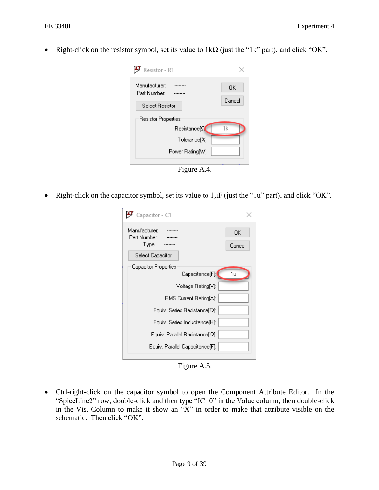• Right-click on the resistor symbol, set its value to  $1k\Omega$  (just the "1k" part), and click "OK".



Figure A.4.

• Right-click on the capacitor symbol, set its value to  $1\mu$ F (just the "1u" part), and click "OK".

| Capacitor - C1                         |                                         |              |  |  |  |  |  |  |  |
|----------------------------------------|-----------------------------------------|--------------|--|--|--|--|--|--|--|
| Manufacturer:<br>Part Number:<br>Type: |                                         | OΚ<br>Cancel |  |  |  |  |  |  |  |
| Select Capacitor                       |                                         |              |  |  |  |  |  |  |  |
| Capacitor Properties                   | Capacitance[F]:                         | 1u           |  |  |  |  |  |  |  |
|                                        | Voltage Rating[V]:                      |              |  |  |  |  |  |  |  |
|                                        | RMS Current Rating[A]:                  |              |  |  |  |  |  |  |  |
|                                        | Equiv. Series Resistance[ $\Omega$ ]:   |              |  |  |  |  |  |  |  |
|                                        | Equiv. Series Inductance[H]:            |              |  |  |  |  |  |  |  |
|                                        | Equiv. Parallel Resistance[ $\Omega$ ]: |              |  |  |  |  |  |  |  |
|                                        | Equiv. Parallel Capacitance[F]:         |              |  |  |  |  |  |  |  |

Figure A.5.

• Ctrl-right-click on the capacitor symbol to open the Component Attribute Editor. In the "SpiceLine2" row, double-click and then type "IC=0" in the Value column, then double-click in the Vis. Column to make it show an "X" in order to make that attribute visible on the schematic. Then click "OK":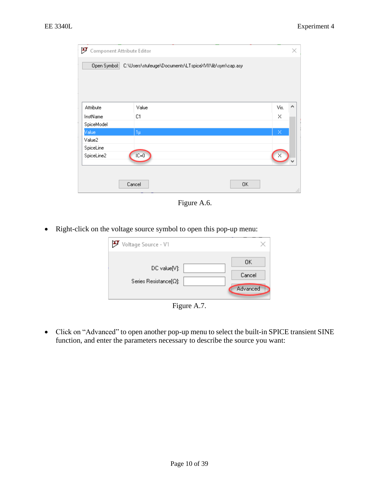| $\boldsymbol{\mathcal{F}}$ Component Attribute Editor |                                                         |      | ×.  |
|-------------------------------------------------------|---------------------------------------------------------|------|-----|
| Open Symbol:                                          | C:\Users\stufeuge\Documents\LTspiceXVII\lib\sym\cap.asy |      |     |
|                                                       |                                                         |      |     |
|                                                       |                                                         |      |     |
| Attribute                                             | Value                                                   | Vis. | ٨   |
| InstName                                              | C1                                                      | ×    |     |
| SpiceModel                                            |                                                         |      |     |
| Value                                                 | $1\mu$                                                  | ×    |     |
| Value <sub>2</sub>                                    |                                                         |      |     |
| SpiceLine                                             |                                                         |      |     |
| SpiceLine2                                            | $IC=0$                                                  | X    |     |
|                                                       |                                                         |      |     |
|                                                       |                                                         |      |     |
|                                                       | Cancel<br>0K                                            |      |     |
|                                                       |                                                         |      | пĒ. |

Figure A.6.

• Right-click on the voltage source symbol to open this pop-up menu:

| Voltage Source - V1                            |                          |
|------------------------------------------------|--------------------------|
| DC value[V]:<br>Series Resistance[ $\Omega$ ]: | 0K<br>Cancel<br>Advanced |
| ÷-<br>$\overline{\phantom{a}}$                 |                          |



• Click on "Advanced" to open another pop-up menu to select the built-in SPICE transient SINE function, and enter the parameters necessary to describe the source you want: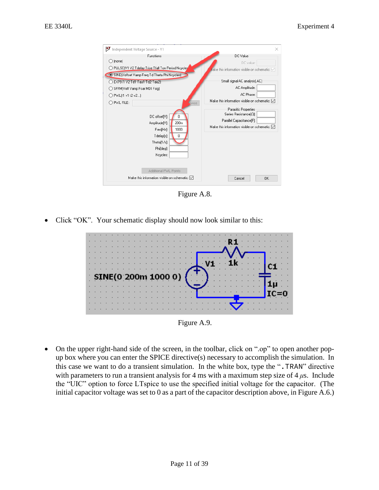| Independent Voltage Source - V1<br>IJ                                                                                                                                                                                                                      | $\times$                                                                                                                                                                                      |
|------------------------------------------------------------------------------------------------------------------------------------------------------------------------------------------------------------------------------------------------------------|-----------------------------------------------------------------------------------------------------------------------------------------------------------------------------------------------|
| Functions<br>$\bigcirc$ (none)<br>PULSE(V1 V2 Tdelay Trise Tfall Ton Period Noyoles<br>SINE (Voffset Vamp Freq Td Theta Phi Neycles)<br>EXP(V1 V2 Td1 Tau1 Td2 Tau2)<br>◯ SFFM(Voff Vamp Fcar MDI Fsiq)<br>2 PWL(t1 v1 t2 v2)<br>PWL FILE:<br><b>rowse</b> | DC Value<br>DC value:<br>Make this information visible on schematic: V<br>Small signal AC analysis(.AC)<br>AC Amplitude:<br>AC Phase:<br>Make this information visible on schematic: $\nabla$ |
| DC offset[V]:<br>0<br>Amplitude[V]:<br>200 <sub>m</sub><br>Freq[Hz]:<br>1000<br>T delay[s]:<br>0<br>Theta[1/s]:<br>Phi[deg]:<br>Neyeles:                                                                                                                   | Parasitic Properties<br>Series Resistance[ $\Omega$ ]:<br>Parallel Capacitance[F]:<br>Make this information visible on schematic: V                                                           |
| Additional PWL Points<br>Make this information visible on schematic: V                                                                                                                                                                                     | <b>DK</b><br>Cancel                                                                                                                                                                           |

Figure A.8.

• Click "OK". Your schematic display should now look similar to this:



Figure A.9.

• On the upper right-hand side of the screen, in the toolbar, click on ".op" to open another popup box where you can enter the SPICE directive(s) necessary to accomplish the simulation. In this case we want to do a transient simulation. In the white box, type the ".TRAN" directive with parameters to run a transient analysis for 4 ms with a maximum step size of 4 *μ*s. Include the "UIC" option to force LTspice to use the specified initial voltage for the capacitor. (The initial capacitor voltage was set to 0 as a part of the capacitor description above, in Figure A.6.)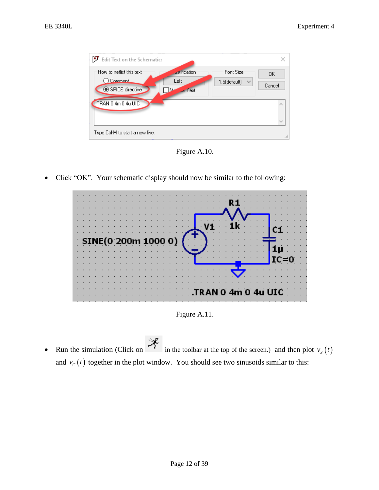| Edit Text on the Schematic:                              |                                              |                                           |              |
|----------------------------------------------------------|----------------------------------------------|-------------------------------------------|--------------|
| How to netlist this text<br>○ Comment<br>SPICE directive | <b>astification</b><br>Left<br>™<br>Jan Text | Font Size<br>1.5(default)<br>$\checkmark$ | 0K<br>Cancel |
| TRAN 0 4m 0 4u UIC                                       |                                              |                                           | ۸            |
| Type Ctrl-M to start a new line.                         |                                              |                                           |              |

Figure A.10.

• Click "OK". Your schematic display should now be similar to the following:

|  |  |  |  |  |  |  | the companion of the companion of the companion of the |  |                                                                         |                                                                                                                                                                                                                               | $\alpha$ , $\alpha$ , $\alpha$ , $\alpha$ , $\alpha$ |  |  |  |  | MARTIN HOLD BELLEVILLE<br>ENDER HOLD DE LA V1 HE LE C1 HE                                       |  |  |
|--|--|--|--|--|--|--|--------------------------------------------------------|--|-------------------------------------------------------------------------|-------------------------------------------------------------------------------------------------------------------------------------------------------------------------------------------------------------------------------|------------------------------------------------------|--|--|--|--|-------------------------------------------------------------------------------------------------|--|--|
|  |  |  |  |  |  |  |                                                        |  |                                                                         |                                                                                                                                                                                                                               |                                                      |  |  |  |  | SINE(0 200m 1000 0) $\begin{pmatrix} + & - & - \\ - & - & - \end{pmatrix}$<br>3000 <b>市</b> 300 |  |  |
|  |  |  |  |  |  |  |                                                        |  | المواصل والمتعاون والمتعاون والمتعاونة والمتعاونة والمتعاونة والمتعاونة | and the second contract of the second contract of the second contract of the second contract of the second contract of the second contract of the second contract of the second contract of the second contract of the second |                                                      |  |  |  |  |                                                                                                 |  |  |
|  |  |  |  |  |  |  |                                                        |  |                                                                         | n na matamatan ing San                                                                                                                                                                                                        |                                                      |  |  |  |  |                                                                                                 |  |  |
|  |  |  |  |  |  |  |                                                        |  |                                                                         | the company of the company                                                                                                                                                                                                    |                                                      |  |  |  |  |                                                                                                 |  |  |
|  |  |  |  |  |  |  | the contract of the contract of                        |  |                                                                         |                                                                                                                                                                                                                               |                                                      |  |  |  |  | TRAN 0 4m 0 4u UIC                                                                              |  |  |

Figure A.11.

• Run the simulation (Click on  $\begin{bmatrix} 1 \\ 1 \end{bmatrix}$  in the toolbar at the top of the screen.) and then plot  $v_s(t)$ and  $v_c(t)$  together in the plot window. You should see two sinusoids similar to this: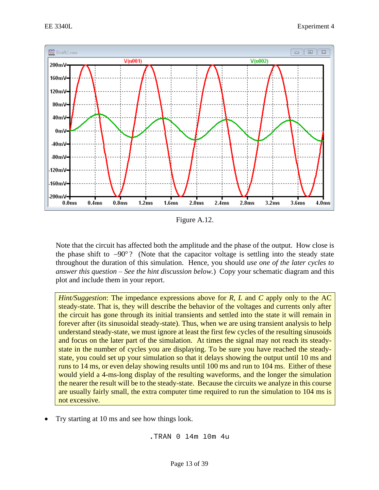

Figure A.12.

Note that the circuit has affected both the amplitude and the phase of the output. How close is the phase shift to  $-90^{\circ}$ ? (Note that the capacitor voltage is settling into the steady state throughout the duration of this simulation. Hence, you should *use one of the later cycles to answer this question – See the hint discussion below.*) Copy your schematic diagram and this plot and include them in your report.

*Hint/Suggestion*: The impedance expressions above for *R*, *L* and *C* apply only to the AC steady-state. That is, they will describe the behavior of the voltages and currents only after the circuit has gone through its initial transients and settled into the state it will remain in forever after (its sinusoidal steady-state). Thus, when we are using transient analysis to help understand steady-state, we must ignore at least the first few cycles of the resulting sinusoids and focus on the later part of the simulation. At times the signal may not reach its steadystate in the number of cycles you are displaying. To be sure you have reached the steadystate, you could set up your simulation so that it delays showing the output until 10 ms and runs to 14 ms, or even delay showing results until 100 ms and run to 104 ms. Either of these would yield a 4-ms-long display of the resulting waveforms, and the longer the simulation the nearer the result will be to the steady-state. Because the circuits we analyze in this course are usually fairly small, the extra computer time required to run the simulation to 104 ms is not excessive.

• Try starting at 10 ms and see how things look.

.TRAN 0 14m 10m 4u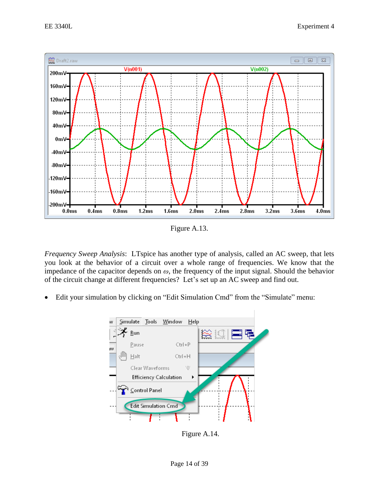

Figure A.13.

*Frequency Sweep Analysis*: LTspice has another type of analysis, called an AC sweep, that lets you look at the behavior of a circuit over a whole range of frequencies. We know that the impedance of the capacitor depends on *ω*, the frequency of the input signal. Should the behavior of the circuit change at different frequencies? Let's set up an AC sweep and find out.

• Edit your simulation by clicking on "Edit Simulation Cmd" from the "Simulate" menu:



Figure A.14.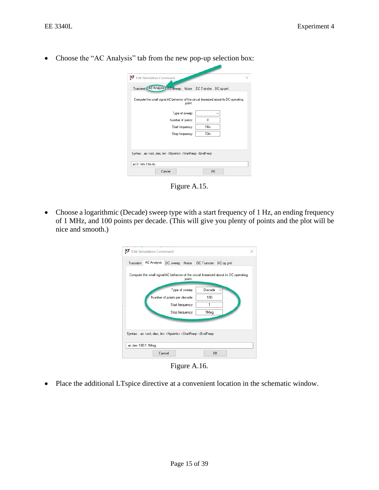• Choose the "AC Analysis" tab from the new pop-up selection box:

| $\mathcal F$ Edit Simulation Command                                                                     |                       |  |  |  |  |  |  |  |
|----------------------------------------------------------------------------------------------------------|-----------------------|--|--|--|--|--|--|--|
| Transient AC Analysis DC sweep Noise                                                                     | DC Transfer DC op pnt |  |  |  |  |  |  |  |
| Compute the small signal AC behavior of the circuit linearized about its DC operating<br>point.          |                       |  |  |  |  |  |  |  |
| Type of sweep:                                                                                           |                       |  |  |  |  |  |  |  |
| Number of points:                                                                                        | 0                     |  |  |  |  |  |  |  |
| Start frequency:                                                                                         | 14 <sub>m</sub>       |  |  |  |  |  |  |  |
| Stop frequency:                                                                                          | 10 <sub>m</sub>       |  |  |  |  |  |  |  |
| Syntax: .ac <oct, dec,="" lin=""> <npoints> <startfreq> <endfreq></endfreq></startfreq></npoints></oct,> |                       |  |  |  |  |  |  |  |
| .ac 0 14m 10m 4u                                                                                         |                       |  |  |  |  |  |  |  |
| Cancel                                                                                                   | 0K                    |  |  |  |  |  |  |  |

Figure A.15.

• Choose a logarithmic (Decade) sweep type with a start frequency of 1 Hz, an ending frequency of 1 MHz, and 100 points per decade. (This will give you plenty of points and the plot will be nice and smooth.)

|           | $\boldsymbol{\mathcal{F}}$ Edit Simulation Command                                                       |                              |                  |             |           |  |  |  |  |  |
|-----------|----------------------------------------------------------------------------------------------------------|------------------------------|------------------|-------------|-----------|--|--|--|--|--|
| Transient | AC Analysis                                                                                              | DC sweep                     | Noise            | DC Transfer | DC op pnt |  |  |  |  |  |
|           | Compute the small signal AC behavior of the circuit linearized about its DC operating<br>point.          |                              |                  |             |           |  |  |  |  |  |
|           |                                                                                                          |                              | Type of sweep:   | Decade      |           |  |  |  |  |  |
|           |                                                                                                          | Number of points per decade: |                  | 100         |           |  |  |  |  |  |
|           |                                                                                                          |                              | Start frequency: | 1           |           |  |  |  |  |  |
|           |                                                                                                          |                              | Stop frequency:  | 1Meg        |           |  |  |  |  |  |
|           |                                                                                                          |                              |                  |             |           |  |  |  |  |  |
|           | Syntax: .ac <oct, dec,="" lin=""> <npoints> <startfreq> <endfreq></endfreq></startfreq></npoints></oct,> |                              |                  |             |           |  |  |  |  |  |
|           | .ac dec 100 1 1Meg                                                                                       |                              |                  |             |           |  |  |  |  |  |
|           | Cancel                                                                                                   |                              |                  | 0K          |           |  |  |  |  |  |

Figure A.16.

• Place the additional LTspice directive at a convenient location in the schematic window.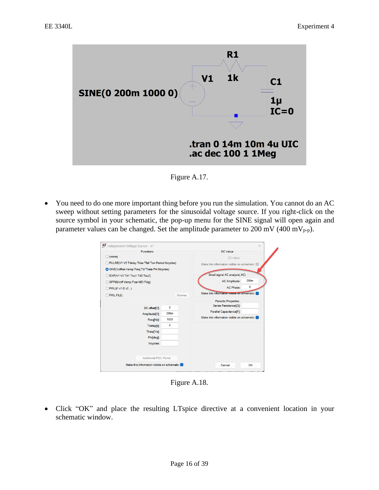



• You need to do one more important thing before you run the simulation. You cannot do an AC sweep without setting parameters for the sinusoidal voltage source. If you right-click on the source symbol in your schematic, the pop-up menu for the SINE signal will open again and parameter values can be changed. Set the amplitude parameter to 200 mV (400 mV<sub>p-p</sub>).

| $\bigcirc$ (none)<br>◯ PULSE(V1 V2 Tdelay Trise Tfall Ton Period Ncycles)<br>SINE(Voffset Vamp Freq Td Theta Phi Ncycles) | DC value:                                     |
|---------------------------------------------------------------------------------------------------------------------------|-----------------------------------------------|
|                                                                                                                           |                                               |
|                                                                                                                           | Make this information visible on schematic:   |
|                                                                                                                           |                                               |
| EXP(V1 V2 Td1 Tau1 Td2 Tau2)                                                                                              | Small signal AC analysis(.AC)                 |
| SFFM(Voff Vamp Fcar MDI Fsig)                                                                                             | 200m<br><b>AC Amplitude:</b>                  |
| ◯ PWL(t1 v1 t2 v2)                                                                                                        | 0<br>AC Phase:                                |
| O PWL FILE:<br><b>Browse</b>                                                                                              | Make this information visible on schematic: V |
|                                                                                                                           | <b>Parasitic Properties</b>                   |
| 0<br>DC offset[V]:                                                                                                        | Series Resistance[Ω]:                         |
| 200m<br>Amplitude[V]:                                                                                                     | Parallel Capacitance[F]:                      |
| 1000<br>Freq[Hz]:                                                                                                         | Make this information visible on schematic: v |
| 0<br>Tdelay[s]:                                                                                                           |                                               |
| Theta[1/s]:                                                                                                               |                                               |
| Phi[deg]:                                                                                                                 |                                               |
| Ncycles:                                                                                                                  |                                               |
|                                                                                                                           |                                               |
|                                                                                                                           |                                               |
| <b>Additional PWL Points</b>                                                                                              |                                               |

Figure A.18.

• Click "OK" and place the resulting LTspice directive at a convenient location in your schematic window.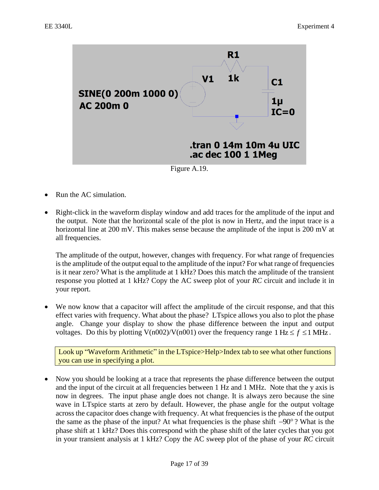

Figure A.19.

- Run the AC simulation.
- Right-click in the waveform display window and add traces for the amplitude of the input and the output. Note that the horizontal scale of the plot is now in Hertz, and the input trace is a horizontal line at 200 mV. This makes sense because the amplitude of the input is 200 mV at all frequencies.

The amplitude of the output, however, changes with frequency. For what range of frequencies is the amplitude of the output equal to the amplitude of the input? For what range of frequencies is it near zero? What is the amplitude at 1 kHz? Does this match the amplitude of the transient response you plotted at 1 kHz? Copy the AC sweep plot of your *RC* circuit and include it in your report.

• We now know that a capacitor will affect the amplitude of the circuit response, and that this effect varies with frequency. What about the phase? LTspice allows you also to plot the phase angle. Change your display to show the phase difference between the input and output voltages. Do this by plotting  $V(n002)/V(n001)$  over the frequency range  $1 Hz \le f \le 1 MHz$ .

Look up "Waveform Arithmetic" in the LTspice>Help>Index tab to see what other functions you can use in specifying a plot.

• Now you should be looking at a trace that represents the phase difference between the output and the input of the circuit at all frequencies between 1 Hz and 1 MHz. Note that the y axis is now in degrees. The input phase angle does not change. It is always zero because the sine wave in LTspice starts at zero by default. However, the phase angle for the output voltage across the capacitor does change with frequency. At what frequencies is the phase of the output the same as the phase of the input? At what frequencies is the phase shift  $-90^\circ$ ? What is the phase shift at 1 kHz? Does this correspond with the phase shift of the later cycles that you got in your transient analysis at 1 kHz? Copy the AC sweep plot of the phase of your *RC* circuit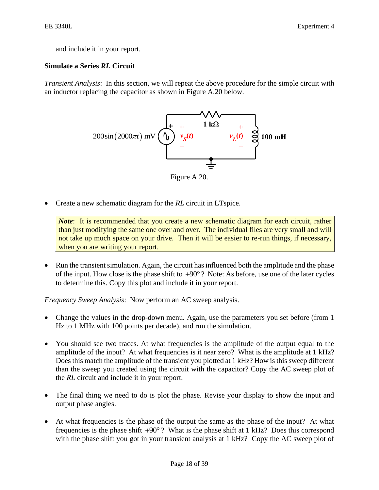and include it in your report.

#### **Simulate a Series** *RL* **Circuit**

*Transient Analysis*: In this section, we will repeat the above procedure for the simple circuit with an inductor replacing the capacitor as shown in Figure A.20 below.



Figure A.20.

• Create a new schematic diagram for the *RL* circuit in LTspice.

*Note*: It is recommended that you create a new schematic diagram for each circuit, rather than just modifying the same one over and over. The individual files are very small and will not take up much space on your drive. Then it will be easier to re-run things, if necessary, when you are writing your report.

• Run the transient simulation. Again, the circuit has influenced both the amplitude and the phase of the input. How close is the phase shift to  $+90^{\circ}$ ? Note: As before, use one of the later cycles to determine this. Copy this plot and include it in your report.

*Frequency Sweep Analysis*: Now perform an AC sweep analysis.

- Change the values in the drop-down menu. Again, use the parameters you set before (from 1) Hz to 1 MHz with 100 points per decade), and run the simulation.
- You should see two traces. At what frequencies is the amplitude of the output equal to the amplitude of the input? At what frequencies is it near zero? What is the amplitude at 1 kHz? Does this match the amplitude of the transient you plotted at 1 kHz? How is this sweep different than the sweep you created using the circuit with the capacitor? Copy the AC sweep plot of the *RL* circuit and include it in your report.
- The final thing we need to do is plot the phase. Revise your display to show the input and output phase angles.
- At what frequencies is the phase of the output the same as the phase of the input? At what frequencies is the phase shift  $+90^{\circ}$ ? What is the phase shift at 1 kHz? Does this correspond with the phase shift you got in your transient analysis at 1 kHz? Copy the AC sweep plot of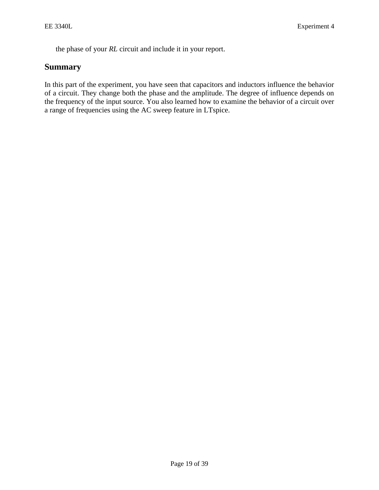the phase of your *RL* circuit and include it in your report.

#### **Summary**

In this part of the experiment, you have seen that capacitors and inductors influence the behavior of a circuit. They change both the phase and the amplitude. The degree of influence depends on the frequency of the input source. You also learned how to examine the behavior of a circuit over a range of frequencies using the AC sweep feature in LTspice.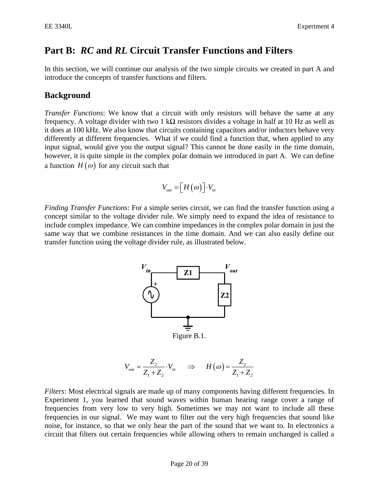# **Part B:** *RC* **and** *RL* **Circuit Transfer Functions and Filters**

In this section, we will continue our analysis of the two simple circuits we created in part A and introduce the concepts of transfer functions and filters.

#### **Background**

*Transfer Functions*: We know that a circuit with only resistors will behave the same at any frequency. A voltage divider with two 1 kΩ resistors divides a voltage in half at 10 Hz as well as it does at 100 kHz. We also know that circuits containing capacitors and/or inductors behave very differently at different frequencies. What if we could find a function that, when applied to any input signal, would give you the output signal? This cannot be done easily in the time domain, however, it is quite simple in the complex polar domain we introduced in part A. We can define a function  $H(\omega)$  for any circuit such that

$$
V_{_{out}} = \left[ H(\omega) \right] \cdot V_{_{in}}
$$

*Finding Transfer Functions*: For a simple series circuit, we can find the transfer function using a concept similar to the voltage divider rule. We simply need to expand the idea of resistance to include complex impedance. We can combine impedances in the complex polar domain in just the same way that we combine resistances in the time domain. And we can also easily define our transfer function using the voltage divider rule, as illustrated below.



$$
V_{out} = \frac{Z_2}{Z_1 + Z_2} \cdot V_{in} \qquad \Rightarrow \qquad H(\omega) = \frac{Z_2}{Z_1 + Z_2}
$$

*Filters*: Most electrical signals are made up of many components having different frequencies. In Experiment 1, you learned that sound waves within human hearing range cover a range of frequencies from very low to very high. Sometimes we may not want to include all these frequencies in our signal. We may want to filter out the very high frequencies that sound like noise, for instance, so that we only hear the part of the sound that we want to. In electronics a circuit that filters out certain frequencies while allowing others to remain unchanged is called a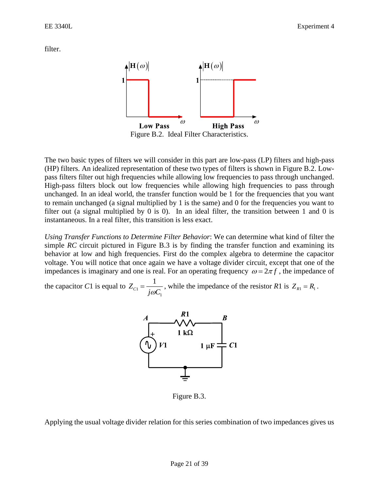filter.



The two basic types of filters we will consider in this part are low-pass (LP) filters and high-pass (HP) filters. An idealized representation of these two types of filters is shown in Figure B.2. Lowpass filters filter out high frequencies while allowing low frequencies to pass through unchanged. High-pass filters block out low frequencies while allowing high frequencies to pass through unchanged. In an ideal world, the transfer function would be 1 for the frequencies that you want to remain unchanged (a signal multiplied by 1 is the same) and 0 for the frequencies you want to filter out (a signal multiplied by 0 is 0). In an ideal filter, the transition between 1 and 0 is instantaneous. In a real filter, this transition is less exact.

*Using Transfer Functions to Determine Filter Behavior*: We can determine what kind of filter the simple *RC* circuit pictured in Figure B.3 is by finding the transfer function and examining its behavior at low and high frequencies. First do the complex algebra to determine the capacitor voltage. You will notice that once again we have a voltage divider circuit, except that one of the impedances is imaginary and one is real. For an operating frequency  $\omega = 2\pi f$ , the impedance of

the capacitor C1 is equal to  $Z_{c1}$ 1  $Z_{C1} = \frac{1}{\cdot}$  $=\frac{1}{j\omega C_1}$ , while the impedance of the resistor *R*1 is  $Z_{R1} = R_1$ .



Figure B.3.

Applying the usual voltage divider relation for this series combination of two impedances gives us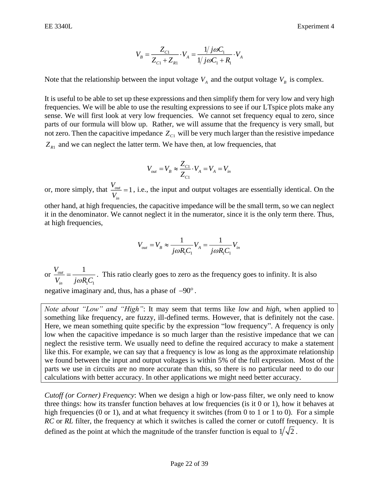$$
V_B = \frac{Z_{C1}}{Z_{C1} + Z_{R1}} \cdot V_A = \frac{1/j\omega C_1}{1/j\omega C_1 + R_1} \cdot V_A
$$

Note that the relationship between the input voltage  $V_A$  and the output voltage  $V_B$  is complex.

It is useful to be able to set up these expressions and then simplify them for very low and very high frequencies. We will be able to use the resulting expressions to see if our LTspice plots make any sense. We will first look at very low frequencies. We cannot set frequency equal to zero, since parts of our formula will blow up. Rather, we will assume that the frequency is very small, but not zero. Then the capacitive impedance  $Z_{C1}$  will be very much larger than the resistive impedance  $Z_{R1}$  and we can neglect the latter term. We have then, at low frequencies, that

$$
V_{out} = V_B \approx \frac{Z_{C1}}{Z_{C1}} \cdot V_A = V_A = V_{in}
$$

or, more simply, that  $\frac{V_{out}}{V_{out}} = 1$ *in*  $\frac{V_{out}}{V}$  = 1, i.e., the input and output voltages are essentially identical. On the

other hand, at high frequencies, the capacitive impedance will be the small term, so we can neglect it in the denominator. We cannot neglect it in the numerator, since it is the only term there. Thus, at high frequencies,

$$
V_{out} = V_B \approx \frac{1}{j\omega R_1 C_1} V_A = \frac{1}{j\omega R_1 C_1} V_{in}
$$

or  $1 - 1$  $\frac{1}{\omega}$  1 *in V*  $V_{in}^{out} = \frac{V_{out}}{j\omega R_i C_1}$ . This ratio clearly goes to zero as the frequency goes to infinity. It is also

negative imaginary and, thus, has a phase of  $-90^\circ$ .

 $\frac{1}{Z_{R1}} \cdot V_A = \frac{V_J \omega C_1}{1/j \omega C_1 +}$ <br>unt voltage  $V_A$  and the simply substing expressions<br>quencies. We cannet substing expressions<br>quencies. We cannet substing expressions<br> $V_{C1}$  will be very mudicle in the very mudicle *Note about "Low" and "High"*: It may seem that terms like *low* and *high*, when applied to something like frequency, are fuzzy, ill-defined terms. However, that is definitely not the case. Here, we mean something quite specific by the expression "low frequency". A frequency is only low when the capacitive impedance is so much larger than the resistive impedance that we can neglect the resistive term. We usually need to define the required accuracy to make a statement like this. For example, we can say that a frequency is low as long as the approximate relationship we found between the input and output voltages is within 5% of the full expression. Most of the parts we use in circuits are no more accurate than this, so there is no particular need to do our calculations with better accuracy. In other applications we might need better accuracy.

*Cutoff (or Corner) Frequency*: When we design a high or low-pass filter, we only need to know three things: how its transfer function behaves at low frequencies (is it 0 or 1), how it behaves at high frequencies (0 or 1), and at what frequency it switches (from 0 to 1 or 1 to 0). For a simple *RC* or *RL* filter, the frequency at which it switches is called the corner or cutoff frequency. It is defined as the point at which the magnitude of the transfer function is equal to  $1/\sqrt{2}$ .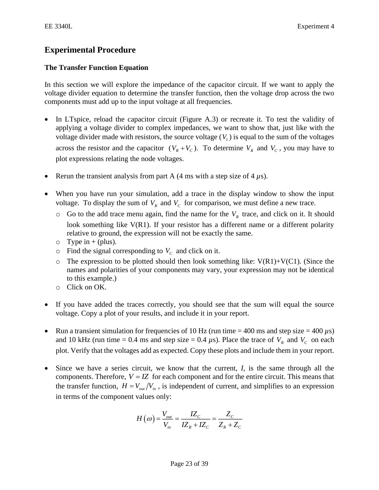# **Experimental Procedure**

#### **The Transfer Function Equation**

In this section we will explore the impedance of the capacitor circuit. If we want to apply the voltage divider equation to determine the transfer function, then the voltage drop across the two components must add up to the input voltage at all frequencies.

- In LTspice, reload the capacitor circuit (Figure A.3) or recreate it. To test the validity of applying a voltage divider to complex impedances, we want to show that, just like with the voltage divider made with resistors, the source voltage  $(V_1)$  is equal to the sum of the voltages across the resistor and the capacitor  $(V_R + V_C)$ . To determine  $V_R$  and  $V_C$ , you may have to plot expressions relating the node voltages.
- Rerun the transient analysis from part A  $(4 \text{ ms with a step size of } 4 \mu s)$ .
- When you have run your simulation, add a trace in the display window to show the input voltage. To display the sum of  $V_R$  and  $V_C$  for comparison, we must define a new trace.
	- $\circ$  Go to the add trace menu again, find the name for the  $V_R$  trace, and click on it. It should look something like V(R1). If your resistor has a different name or a different polarity relative to ground, the expression will not be exactly the same.
	- $\circ$  Type in + (plus).
	- $\circ$  Find the signal corresponding to  $V_c$  and click on it.
	- $\circ$  The expression to be plotted should then look something like: V(R1)+V(C1). (Since the names and polarities of your components may vary, your expression may not be identical to this example.)
	- o Click on OK.
- If you have added the traces correctly, you should see that the sum will equal the source voltage. Copy a plot of your results, and include it in your report.
- Run a transient simulation for frequencies of 10 Hz (run time  $= 400$  ms and step size  $= 400 \,\mu s$ ) and 10 kHz (run time = 0.4 ms and step size = 0.4  $\mu$ s). Place the trace of  $V_R$  and  $V_C$  on each plot. Verify that the voltages add as expected. Copy these plots and include them in your report.
- Since we have a series circuit, we know that the current, *I*, is the same through all the components. Therefore,  $V = IZ$  for each component and for the entire circuit. This means that the transfer function,  $H = V_{out}/V_{in}$ , is independent of current, and simplifies to an expression in terms of the component values only:

$$
H\left(\omega\right) = \frac{V_{out}}{V_{in}} = \frac{IZ_c}{IZ_R + IZ_c} = \frac{Z_c}{Z_R + Z_c}
$$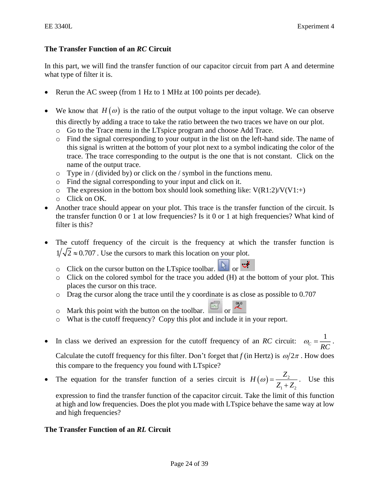#### **The Transfer Function of an** *RC* **Circuit**

In this part, we will find the transfer function of our capacitor circuit from part A and determine what type of filter it is.

- Rerun the AC sweep (from 1 Hz to 1 MHz at 100 points per decade).
- We know that  $H(\omega)$  is the ratio of the output voltage to the input voltage. We can observe
	- this directly by adding a trace to take the ratio between the two traces we have on our plot.
	- o Go to the Trace menu in the LTspice program and choose Add Trace.
	- o Find the signal corresponding to your output in the list on the left-hand side. The name of this signal is written at the bottom of your plot next to a symbol indicating the color of the trace. The trace corresponding to the output is the one that is not constant. Click on the name of the output trace.
	- o Type in / (divided by) or click on the / symbol in the functions menu.
	- o Find the signal corresponding to your input and click on it.
	- $\circ$  The expression in the bottom box should look something like:  $V(R1:2)/V(V1:+)$
	- o Click on OK.
- Another trace should appear on your plot. This trace is the transfer function of the circuit. Is the transfer function 0 or 1 at low frequencies? Is it 0 or 1 at high frequencies? What kind of filter is this?
- The cutoff frequency of the circuit is the frequency at which the transfer function is  $1/\sqrt{2} \approx 0.707$ . Use the cursors to mark this location on your plot.
	- o Click on the cursor button on the LTspice toolbar.  $\left|\mathbf{Q}\right|$  or  $\mathbf{C}^*$
	- o Click on the colored symbol for the trace you added (H) at the bottom of your plot. This places the cursor on this trace.
	- o Drag the cursor along the trace until the y coordinate is as close as possible to 0.707
	- o Mark this point with the button on the toolbar.  $\frac{d^{(n)}_{\text{max}}}{dt}$  or
	- o What is the cutoff frequency? Copy this plot and include it in your report.
- In class we derived an expression for the cutoff frequency of an *RC* circuit:  $\omega_c = \frac{1}{\epsilon_0}$  $\omega_c = \frac{1}{RC}$ .

Calculate the cutoff frequency for this filter. Don't forget that  $f$  (in Hertz) is  $\omega/2\pi$ . How does this compare to the frequency you found with LTspice?

• The equation for the transfer function of a series circuit is  $H(\omega) = \frac{Z_2}{Z_1}$  $1 \cdot \mathbf{2}$  $H(\omega) = \frac{Z}{\sqrt{Z}}$  $\omega$ ) =  $\frac{z}{Z_1 + Z}$  $\frac{Z_2}{+Z_2}$ . Use this

expression to find the transfer function of the capacitor circuit. Take the limit of this function at high and low frequencies. Does the plot you made with LTspice behave the same way at low and high frequencies?

#### **The Transfer Function of an** *RL* **Circuit**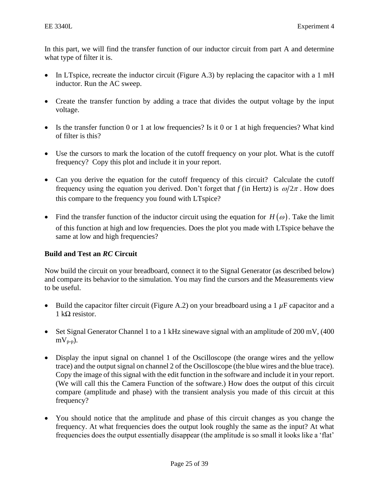In this part, we will find the transfer function of our inductor circuit from part A and determine what type of filter it is.

- In LTspice, recreate the inductor circuit (Figure A.3) by replacing the capacitor with a 1 mH inductor. Run the AC sweep.
- Create the transfer function by adding a trace that divides the output voltage by the input voltage.
- Is the transfer function 0 or 1 at low frequencies? Is it 0 or 1 at high frequencies? What kind of filter is this?
- Use the cursors to mark the location of the cutoff frequency on your plot. What is the cutoff frequency? Copy this plot and include it in your report.
- Can you derive the equation for the cutoff frequency of this circuit? Calculate the cutoff frequency using the equation you derived. Don't forget that  $f$  (in Hertz) is  $\omega/2\pi$ . How does this compare to the frequency you found with LTspice?
- Find the transfer function of the inductor circuit using the equation for  $H(\omega)$ . Take the limit of this function at high and low frequencies. Does the plot you made with LTspice behave the same at low and high frequencies?

#### **Build and Test an** *RC* **Circuit**

Now build the circuit on your breadboard, connect it to the Signal Generator (as described below) and compare its behavior to the simulation. You may find the cursors and the Measurements view to be useful.

- Build the capacitor filter circuit (Figure A.2) on your breadboard using a 1  $\mu$ F capacitor and a 1 kΩ resistor.
- Set Signal Generator Channel 1 to a 1 kHz sinewave signal with an amplitude of 200 mV, (400)  $mV_{p-p}$ ).
- Display the input signal on channel 1 of the Oscilloscope (the orange wires and the yellow trace) and the output signal on channel 2 of the Oscilloscope (the blue wires and the blue trace). Copy the image of this signal with the edit function in the software and include it in your report. (We will call this the Camera Function of the software.) How does the output of this circuit compare (amplitude and phase) with the transient analysis you made of this circuit at this frequency?
- You should notice that the amplitude and phase of this circuit changes as you change the frequency. At what frequencies does the output look roughly the same as the input? At what frequencies does the output essentially disappear (the amplitude is so small it looks like a 'flat'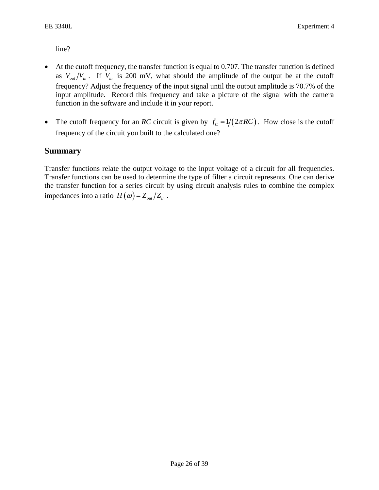line?

- At the cutoff frequency, the transfer function is equal to 0.707. The transfer function is defined as  $V_{out}/V_{in}$ . If  $V_{in}$  is 200 mV, what should the amplitude of the output be at the cutoff frequency? Adjust the frequency of the input signal until the output amplitude is 70.7% of the input amplitude. Record this frequency and take a picture of the signal with the camera function in the software and include it in your report.
- The cutoff frequency for an *RC* circuit is given by  $f_c = 1/(2\pi RC)$ . How close is the cutoff frequency of the circuit you built to the calculated one?

# **Summary**

Transfer functions relate the output voltage to the input voltage of a circuit for all frequencies. Transfer functions can be used to determine the type of filter a circuit represents. One can derive the transfer function for a series circuit by using circuit analysis rules to combine the complex impedances into a ratio  $H(\omega) = Z_{out}/Z_{in}$ .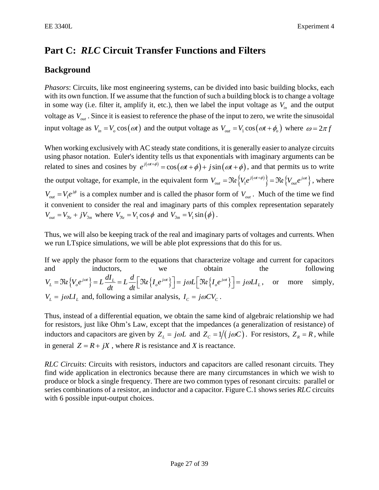# **Part C:** *RLC* **Circuit Transfer Functions and Filters**

### **Background**

*Phasors*: Circuits, like most engineering systems, can be divided into basic building blocks, each with its own function. If we assume that the function of such a building block is to change a voltage in some way (i.e. filter it, amplify it, etc.), then we label the input voltage as  $V_{in}$  and the output voltage as *Vout* . Since it is easiest to reference the phase of the input to zero, we write the sinusoidal input voltage as  $V_{in} = V_o \cos(\omega t)$  and the output voltage as  $V_{out} = V_1 \cos(\omega t + \phi_o)$  where  $\omega = 2\pi f$ 

When working exclusively with AC steady state conditions, it is generally easier to analyze circuits using phasor notation. Euler's identity tells us that exponentials with imaginary arguments can be related to sines and cosines by  $e^{j(\omega t + \phi)} = \cos(\omega t + \phi) + j\sin(\omega t + \phi)$ , and that permits us to write the output voltage, for example, in the equivalent form  $V_{out} = \Re\{V_1e^{j(\omega t + \phi)}\} = \Re\{V_{out}e^{j\omega t}\}\$ , where  $V_{out} = V_1 e^{j\phi}$  is a complex number and is called the phasor form of  $V_{out}$ . Much of the time we find it convenient to consider the real and imaginary parts of this complex representation separately  $V_{out} = V_{\Re} + jV_{\Im m}$  where  $V_{\Re e} = V_1 \cos \phi$  and  $V_{\Im m} = V_1 \sin (\phi)$ .

Thus, we will also be keeping track of the real and imaginary parts of voltages and currents. When we run LTspice simulations, we will be able plot expressions that do this for us.

If we apply the phasor form to the equations that characterize voltage and current for capacitors and inductors, we obtain the following  $J_L = \Re\{V_oe^{j\omega t}\} = L\frac{dI_L}{dt} = L\frac{d}{dt} \left[ \Re\{I_oe^{j\omega t}\}\right] = j\omega L \left[ \Re\{I_oe^{j\omega t}\}\right] = j\omega L I_L$  $\left\{ V_{L}= \mathfrak{Re}\left\{ V_{o}e^{j\omega t}\right\} =L\frac{dI_{L}}{dt}=L\frac{d}{dt}\bigg[\mathfrak{Re}\left\{ I_{o}e^{j\omega t}\right\} \bigg]=j\omega L\bigg[\mathfrak{Re}\left\{ I_{o}e^{j\omega t}\right\} \bigg]=j\omega L I$  $=\Re\left\{V_oe^{j\omega t}\right\}=L\frac{dI_L}{dt}=L\frac{d}{dt}\left[\Re\left\{I_oe^{j\omega t}\right\}\right]=j\omega L\left[\Re\left\{I_oe^{j\omega t}\right\}\right]=j\omega LI_L$ , or more simply,  $V_L = j\omega L I_L$  and, following a similar analysis,  $I_C = j\omega C V_C$ .

Thus, instead of a differential equation, we obtain the same kind of algebraic relationship we had for resistors, just like Ohm's Law, except that the impedances (a generalization of resistance) of inductors and capacitors are given by  $Z_L = j\omega L$  and  $Z_C = 1/(j\omega C)$ . For resistors,  $Z_R = R$ , while in general  $Z = R + jX$ , where *R* is resistance and *X* is reactance.

*RLC Circuits*: Circuits with resistors, inductors and capacitors are called resonant circuits. They find wide application in electronics because there are many circumstances in which we wish to produce or block a single frequency. There are two common types of resonant circuits: parallel or series combinations of a resistor, an inductor and a capacitor. Figure C.1 shows series *RLC* circuits with 6 possible input-output choices.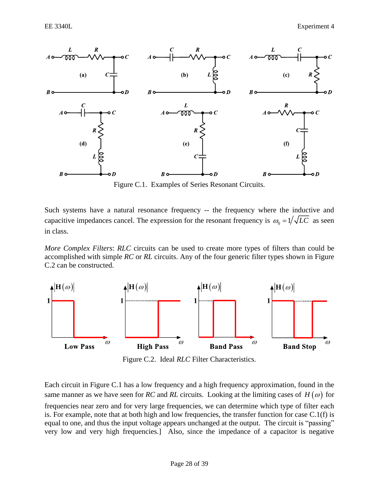

Figure C.1. Examples of Series Resonant Circuits.

Such systems have a natural resonance frequency -- the frequency where the inductive and capacitive impedances cancel. The expression for the resonant frequency is  $\omega_0 = 1/\sqrt{LC}$  as seen in class.

*More Complex Filters*: *RLC* circuits can be used to create more types of filters than could be accomplished with simple *RC* or *RL* circuits. Any of the four generic filter types shown in Figure C.2 can be constructed.



Figure C.2. Ideal *RLC* Filter Characteristics.

Each circuit in Figure C.1 has a low frequency and a high frequency approximation, found in the same manner as we have seen for *RC* and *RL* circuits. Looking at the limiting cases of  $H(\omega)$  for frequencies near zero and for very large frequencies, we can determine which type of filter each is. For example, note that at both high and low frequencies, the transfer function for case C.1(f) is equal to one, and thus the input voltage appears unchanged at the output. The circuit is "passing" very low and very high frequencies.] Also, since the impedance of a capacitor is negative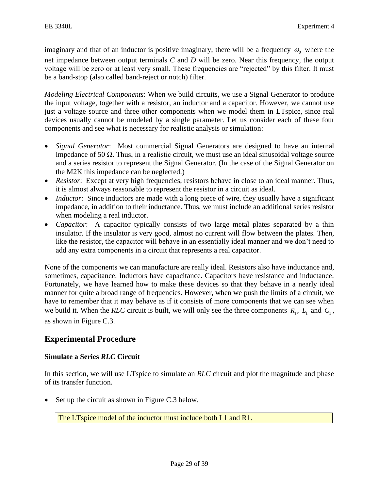imaginary and that of an inductor is positive imaginary, there will be a frequency  $\omega_0$  where the net impedance between output terminals *C* and *D* will be zero. Near this frequency, the output voltage will be zero or at least very small. These frequencies are "rejected" by this filter. It must be a band-stop (also called band-reject or notch) filter.

*Modeling Electrical Components*: When we build circuits, we use a Signal Generator to produce the input voltage, together with a resistor, an inductor and a capacitor. However, we cannot use just a voltage source and three other components when we model them in LTspice, since real devices usually cannot be modeled by a single parameter. Let us consider each of these four components and see what is necessary for realistic analysis or simulation:

- *Signal Generator*: Most commercial Signal Generators are designed to have an internal impedance of 50 Ω. Thus, in a realistic circuit, we must use an ideal sinusoidal voltage source and a series resistor to represent the Signal Generator. (In the case of the Signal Generator on the M2K this impedance can be neglected.)
- *Resistor*: Except at very high frequencies, resistors behave in close to an ideal manner. Thus, it is almost always reasonable to represent the resistor in a circuit as ideal.
- *Inductor*: Since inductors are made with a long piece of wire, they usually have a significant impedance, in addition to their inductance. Thus, we must include an additional series resistor when modeling a real inductor.
- *Capacitor*: A capacitor typically consists of two large metal plates separated by a thin insulator. If the insulator is very good, almost no current will flow between the plates. Then, like the resistor, the capacitor will behave in an essentially ideal manner and we don't need to add any extra components in a circuit that represents a real capacitor.

None of the components we can manufacture are really ideal. Resistors also have inductance and, sometimes, capacitance. Inductors have capacitance. Capacitors have resistance and inductance. Fortunately, we have learned how to make these devices so that they behave in a nearly ideal manner for quite a broad range of frequencies. However, when we push the limits of a circuit, we have to remember that it may behave as if it consists of more components that we can see when we build it. When the *RLC* circuit is built, we will only see the three components  $R_1$ ,  $L_1$  and  $C_1$ , as shown in Figure C.3.

# **Experimental Procedure**

#### **Simulate a Series** *RLC* **Circuit**

In this section, we will use LTspice to simulate an *RLC* circuit and plot the magnitude and phase of its transfer function.

Set up the circuit as shown in Figure C.3 below.

The LTspice model of the inductor must include both L1 and R1.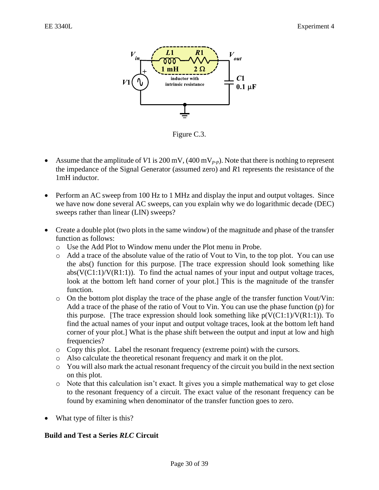

Figure C.3.

- Assume that the amplitude of *V*1 is 200 mV, (400 mV*p-p*). Note that there is nothing to represent the impedance of the Signal Generator (assumed zero) and *R*1 represents the resistance of the 1mH inductor.
- Perform an AC sweep from 100 Hz to 1 MHz and display the input and output voltages. Since we have now done several AC sweeps, can you explain why we do logarithmic decade (DEC) sweeps rather than linear (LIN) sweeps?
- Create a double plot (two plots in the same window) of the magnitude and phase of the transfer function as follows:
	- o Use the Add Plot to Window menu under the Plot menu in Probe.
	- o Add a trace of the absolute value of the ratio of Vout to Vin, to the top plot. You can use the abs() function for this purpose. [The trace expression should look something like  $abs(V(C1:1)/V(R1:1))$ . To find the actual names of your input and output voltage traces, look at the bottom left hand corner of your plot.] This is the magnitude of the transfer function.
	- o On the bottom plot display the trace of the phase angle of the transfer function Vout/Vin: Add a trace of the phase of the ratio of Vout to Vin. You can use the phase function (p) for this purpose. [The trace expression should look something like  $p(V(C1:1)/V(R1:1))$ . To find the actual names of your input and output voltage traces, look at the bottom left hand corner of your plot.] What is the phase shift between the output and input at low and high frequencies?
	- o Copy this plot. Label the resonant frequency (extreme point) with the cursors.
	- o Also calculate the theoretical resonant frequency and mark it on the plot.
	- o You will also mark the actual resonant frequency of the circuit you build in the next section on this plot.
	- o Note that this calculation isn't exact. It gives you a simple mathematical way to get close to the resonant frequency of a circuit. The exact value of the resonant frequency can be found by examining when denominator of the transfer function goes to zero.
- What type of filter is this?

#### **Build and Test a Series** *RLC* **Circuit**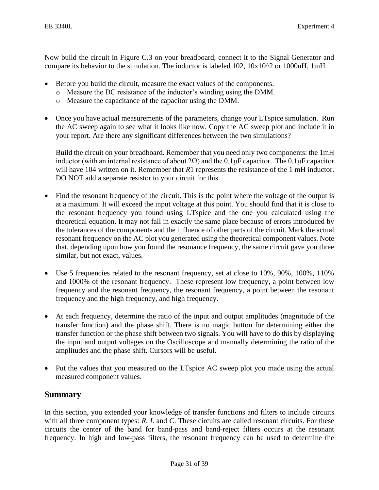Now build the circuit in Figure C.3 on your breadboard, connect it to the Signal Generator and compare its behavior to the simulation. The inductor is labeled 102, 10x10^2 or 1000uH, 1mH

- Before you build the circuit, measure the exact values of the components.
	- o Measure the DC resistance of the inductor's winding using the DMM.
	- o Measure the capacitance of the capacitor using the DMM.
- Once you have actual measurements of the parameters, change your LTspice simulation. Run the AC sweep again to see what it looks like now. Copy the AC sweep plot and include it in your report. Are there any significant differences between the two simulations?

Build the circuit on your breadboard. Remember that you need only two components: the 1mH inductor (with an internal resistance of about  $2\Omega$ ) and the 0.1µF capacitor. The 0.1µF capacitor will have 104 written on it. Remember that *R*1 represents the resistance of the 1 mH inductor. DO NOT add a separate resistor to your circuit for this.

- Find the resonant frequency of the circuit. This is the point where the voltage of the output is at a maximum. It will exceed the input voltage at this point. You should find that it is close to the resonant frequency you found using LTspice and the one you calculated using the theoretical equation. It may not fall in exactly the same place because of errors introduced by the tolerances of the components and the influence of other parts of the circuit. Mark the actual resonant frequency on the AC plot you generated using the theoretical component values. Note that, depending upon how you found the resonance frequency, the same circuit gave you three similar, but not exact, values.
- Use 5 frequencies related to the resonant frequency, set at close to 10%, 90%, 100%, 110% and 1000% of the resonant frequency. These represent low frequency, a point between low frequency and the resonant frequency, the resonant frequency, a point between the resonant frequency and the high frequency, and high frequency.
- At each frequency, determine the ratio of the input and output amplitudes (magnitude of the transfer function) and the phase shift. There is no magic button for determining either the transfer function or the phase shift between two signals. You will have to do this by displaying the input and output voltages on the Oscilloscope and manually determining the ratio of the amplitudes and the phase shift. Cursors will be useful.
- Put the values that you measured on the LTspice AC sweep plot you made using the actual measured component values.

# **Summary**

In this section, you extended your knowledge of transfer functions and filters to include circuits with all three component types: *R*, *L* and *C*. These circuits are called resonant circuits. For these circuits the center of the band for band-pass and band-reject filters occurs at the resonant frequency. In high and low-pass filters, the resonant frequency can be used to determine the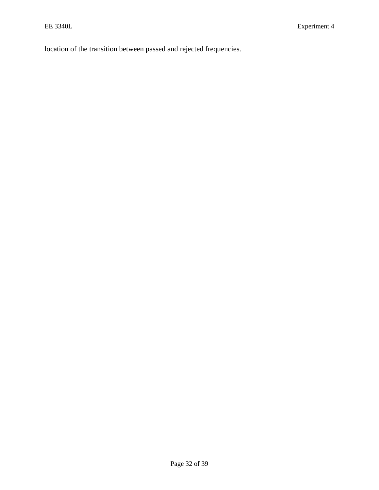location of the transition between passed and rejected frequencies.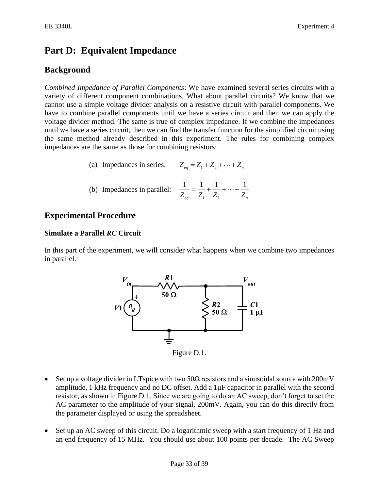# **Part D: Equivalent Impedance**

# **Background**

*Combined Impedance of Parallel Components*: We have examined several series circuits with a variety of different component combinations. What about parallel circuits? We know that we cannot use a simple voltage divider analysis on a resistive circuit with parallel components. We have to combine parallel components until we have a series circuit and then we can apply the voltage divider method. The same is true of complex impedance. If we combine the impedances until we have a series circuit, then we can find the transfer function for the simplified circuit using the same method already described in this experiment. The rules for combining complex impedances are the same as those for combining resistors:

\n- (a) Impedances in series: 
$$
Z_{eq} = Z_1 + Z_2 + \cdots + Z_n
$$
\n- (b) Impedances in parallel:  $\frac{1}{Z_{eq}} = \frac{1}{Z_1} + \frac{1}{Z_2} + \cdots + \frac{1}{Z_n}$
\n

# **Experimental Procedure**

#### **Simulate a Parallel** *RC* **Circuit**

In this part of the experiment, we will consider what happens when we combine two impedances in parallel.



Figure D.1.

- Set up a voltage divider in LTspice with two 50 $\Omega$  resistors and a sinusoidal source with 200 mV amplitude, 1 kHz frequency and no DC offset. Add a 1μF capacitor in parallel with the second resistor, as shown in Figure D.1. Since we are going to do an AC sweep, don't forget to set the AC parameter to the amplitude of your signal, 200mV. Again, you can do this directly from the parameter displayed or using the spreadsheet.
- Set up an AC sweep of this circuit. Do a logarithmic sweep with a start frequency of 1 Hz and an end frequency of 15 MHz. You should use about 100 points per decade. The AC Sweep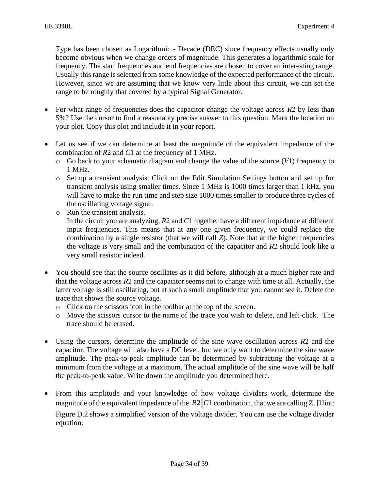Type has been chosen as Logarithmic - Decade (DEC) since frequency effects usually only become obvious when we change orders of magnitude. This generates a logarithmic scale for frequency. The start frequencies and end frequencies are chosen to cover an interesting range. Usually this range is selected from some knowledge of the expected performance of the circuit. However, since we are assuming that we know very little about this circuit, we can set the range to be roughly that covered by a typical Signal Generator.

- For what range of frequencies does the capacitor change the voltage across R2 by less than 5%? Use the cursor to find a reasonably precise answer to this question. Mark the location on your plot. Copy this plot and include it in your report.
- Let us see if we can determine at least the magnitude of the equivalent impedance of the combination of *R*2 and *C*1 at the frequency of 1 MHz.
	- o Go back to your schematic diagram and change the value of the source (*V*1) frequency to 1 MHz.
	- o Set up a transient analysis. Click on the Edit Simulation Settings button and set up for transient analysis using smaller times. Since 1 MHz is 1000 times larger than 1 kHz, you will have to make the run time and step size 1000 times smaller to produce three cycles of the oscillating voltage signal.
	- o Run the transient analysis. In the circuit you are analyzing, *R*2 and *C*1 together have a different impedance at different input frequencies. This means that at any one given frequency, we could replace the combination by a single resistor (that we will call *Z*). Note that at the higher frequencies the voltage is very small and the combination of the capacitor and *R*2 should look like a very small resistor indeed.
- You should see that the source oscillates as it did before, although at a much higher rate and that the voltage across *R*2 and the capacitor seems not to change with time at all. Actually, the latter voltage is still oscillating, but at such a small amplitude that you cannot see it. Delete the trace that shows the source voltage.
	- o Click on the scissors icon in the toolbar at the top of the screen.
	- o Move the scissors cursor to the name of the trace you wish to delete, and left-click. The trace should be erased.
- Using the cursors, determine the amplitude of the sine wave oscillation across *R*2 and the capacitor. The voltage will also have a DC level, but we only want to determine the sine wave amplitude. The peak-to-peak amplitude can be determined by subtracting the voltage at a minimum from the voltage at a maximum. The actual amplitude of the sine wave will be half the peak-to-peak value. Write down the amplitude you determined here.
- From this amplitude and your knowledge of how voltage dividers work, determine the magnitude of the equivalent impedance of the  $R2$   $\vert C1$  combination, that we are calling Z. [Hint: Figure D.2 shows a simplified version of the voltage divider. You can use the voltage divider equation: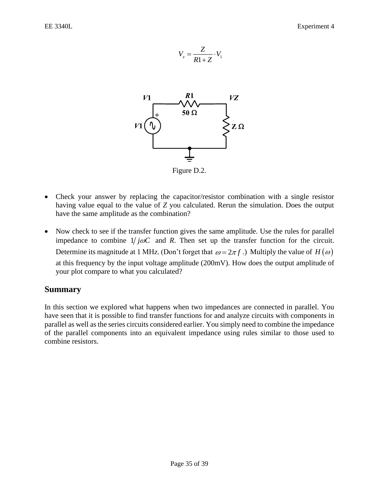$$
V_z = \frac{Z}{R1 + Z} \cdot V_1
$$



Figure D.2.

- Check your answer by replacing the capacitor/resistor combination with a single resistor having value equal to the value of *Z* you calculated. Rerun the simulation. Does the output have the same amplitude as the combination?
- Now check to see if the transfer function gives the same amplitude. Use the rules for parallel impedance to combine  $1/j\omega C$  and *R*. Then set up the transfer function for the circuit. Determine its magnitude at 1 MHz. (Don't forget that  $\omega = 2\pi f$ .) Multiply the value of  $H(\omega)$ at this frequency by the input voltage amplitude (200mV). How does the output amplitude of your plot compare to what you calculated?

#### **Summary**

In this section we explored what happens when two impedances are connected in parallel. You have seen that it is possible to find transfer functions for and analyze circuits with components in parallel as well as the series circuits considered earlier. You simply need to combine the impedance of the parallel components into an equivalent impedance using rules similar to those used to combine resistors.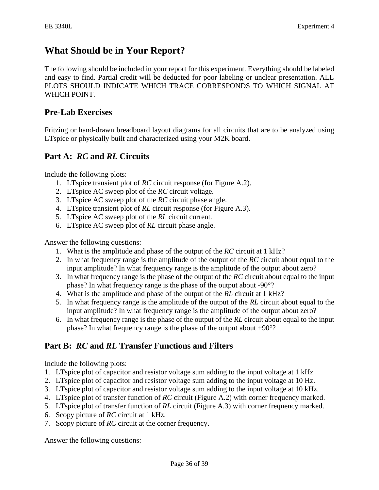# **What Should be in Your Report?**

The following should be included in your report for this experiment. Everything should be labeled and easy to find. Partial credit will be deducted for poor labeling or unclear presentation. ALL PLOTS SHOULD INDICATE WHICH TRACE CORRESPONDS TO WHICH SIGNAL AT WHICH POINT.

#### **Pre-Lab Exercises**

Fritzing or hand-drawn breadboard layout diagrams for all circuits that are to be analyzed using LTspice or physically built and characterized using your M2K board.

#### **Part A:** *RC* **and** *RL* **Circuits**

Include the following plots:

- 1. LTspice transient plot of *RC* circuit response (for Figure A.2).
- 2. LTspice AC sweep plot of the *RC* circuit voltage.
- 3. LTspice AC sweep plot of the *RC* circuit phase angle.
- 4. LTspice transient plot of *RL* circuit response (for Figure A.3).
- 5. LTspice AC sweep plot of the *RL* circuit current.
- 6. LTspice AC sweep plot of *RL* circuit phase angle.

Answer the following questions:

- 1. What is the amplitude and phase of the output of the *RC* circuit at 1 kHz?
- 2. In what frequency range is the amplitude of the output of the *RC* circuit about equal to the input amplitude? In what frequency range is the amplitude of the output about zero?
- 3. In what frequency range is the phase of the output of the *RC* circuit about equal to the input phase? In what frequency range is the phase of the output about -90°?
- 4. What is the amplitude and phase of the output of the *RL* circuit at 1 kHz?
- 5. In what frequency range is the amplitude of the output of the *RL* circuit about equal to the input amplitude? In what frequency range is the amplitude of the output about zero?
- 6. In what frequency range is the phase of the output of the *RL* circuit about equal to the input phase? In what frequency range is the phase of the output about +90°?

#### **Part B:** *RC* **and** *RL* **Transfer Functions and Filters**

Include the following plots:

- 1. LTspice plot of capacitor and resistor voltage sum adding to the input voltage at 1 kHz
- 2. LTspice plot of capacitor and resistor voltage sum adding to the input voltage at 10 Hz.
- 3. LTspice plot of capacitor and resistor voltage sum adding to the input voltage at 10 kHz.
- 4. LTspice plot of transfer function of *RC* circuit (Figure A.2) with corner frequency marked.
- 5. LTspice plot of transfer function of *RL* circuit (Figure A.3) with corner frequency marked.
- 6. Scopy picture of *RC* circuit at 1 kHz.
- 7. Scopy picture of *RC* circuit at the corner frequency.

Answer the following questions: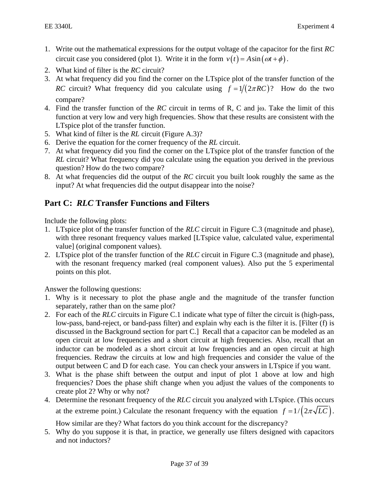- 1. Write out the mathematical expressions for the output voltage of the capacitor for the first *RC* circuit case you considered (plot 1). Write it in the form  $v(t) = A \sin(\omega t + \phi)$ .
- 2. What kind of filter is the *RC* circuit?
- 3. At what frequency did you find the corner on the LTspice plot of the transfer function of the *RC* circuit? What frequency did you calculate using  $f = 1/(2\pi RC)$ ? How do the two compare?
- 4. Find the transfer function of the *RC* circuit in terms of R, C and jω. Take the limit of this function at very low and very high frequencies. Show that these results are consistent with the LTspice plot of the transfer function.
- 5. What kind of filter is the *RL* circuit (Figure A.3)?
- 6. Derive the equation for the corner frequency of the *RL* circuit.
- 7. At what frequency did you find the corner on the LTspice plot of the transfer function of the *RL* circuit? What frequency did you calculate using the equation you derived in the previous question? How do the two compare?
- 8. At what frequencies did the output of the *RC* circuit you built look roughly the same as the input? At what frequencies did the output disappear into the noise?

# **Part C:** *RLC* **Transfer Functions and Filters**

Include the following plots:

- 1. LTspice plot of the transfer function of the *RLC* circuit in Figure C.3 (magnitude and phase), with three resonant frequency values marked [LTspice value, calculated value, experimental value] (original component values).
- 2. LTspice plot of the transfer function of the *RLC* circuit in Figure C.3 (magnitude and phase), with the resonant frequency marked (real component values). Also put the 5 experimental points on this plot.

Answer the following questions:

- 1. Why is it necessary to plot the phase angle and the magnitude of the transfer function separately, rather than on the same plot?
- 2. For each of the *RLC* circuits in Figure C.1 indicate what type of filter the circuit is (high-pass, low-pass, band-reject, or band-pass filter) and explain why each is the filter it is. [Filter (f) is discussed in the Background section for part C.] Recall that a capacitor can be modeled as an open circuit at low frequencies and a short circuit at high frequencies. Also, recall that an inductor can be modeled as a short circuit at low frequencies and an open circuit at high frequencies. Redraw the circuits at low and high frequencies and consider the value of the output between C and D for each case. You can check your answers in LTspice if you want.
- 3. What is the phase shift between the output and input of plot 1 above at low and high frequencies? Does the phase shift change when you adjust the values of the components to create plot 2? Why or why not?
- 4. Determine the resonant frequency of the *RLC* circuit you analyzed with LTspice. (This occurs at the extreme point.) Calculate the resonant frequency with the equation  $f = 1/(2\pi\sqrt{LC})$ .

How similar are they? What factors do you think account for the discrepancy?

5. Why do you suppose it is that, in practice, we generally use filters designed with capacitors and not inductors?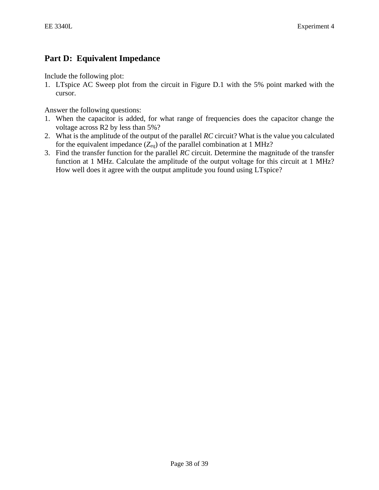# **Part D: Equivalent Impedance**

Include the following plot:

1. LTspice AC Sweep plot from the circuit in Figure D.1 with the 5% point marked with the cursor.

Answer the following questions:

- 1. When the capacitor is added, for what range of frequencies does the capacitor change the voltage across R2 by less than 5%?
- 2. What is the amplitude of the output of the parallel *RC* circuit? What is the value you calculated for the equivalent impedance  $(Z_{eq})$  of the parallel combination at 1 MHz?
- 3. Find the transfer function for the parallel *RC* circuit. Determine the magnitude of the transfer function at 1 MHz. Calculate the amplitude of the output voltage for this circuit at 1 MHz? How well does it agree with the output amplitude you found using LTspice?